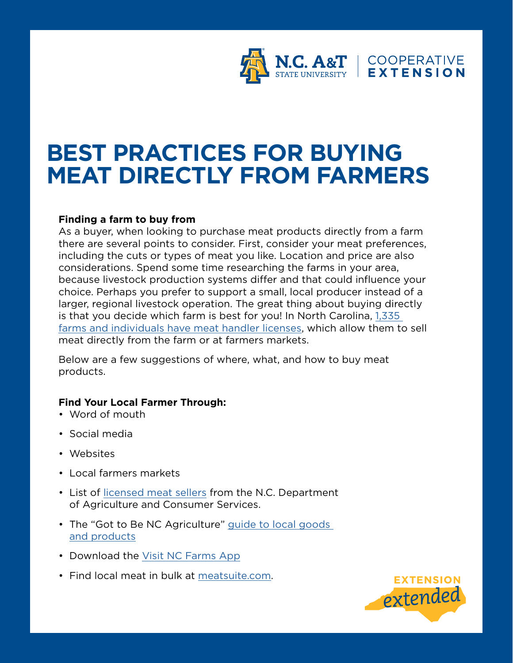

# **BEST PRACTICES FOR BUYING MEAT DIRECTLY FROM FARMERS**

## **Finding a farm to buy from**

As a buyer, when looking to purchase meat products directly from a farm there are several points to consider. First, consider your meat preferences, including the cuts or types of meat you like. Location and price are also considerations. Spend some time researching the farms in your area, because livestock production systems differ and that could influence your choice. Perhaps you prefer to support a small, local producer instead of a larger, regional livestock operation. The great thing about buying directly is that you decide which farm is best for you! In North Carolina, [1,335](https://www.ncagr.gov/MeatPoultry/documents/webPCPMHName.pdf)  [farms and individuals have meat handler licenses,](https://www.ncagr.gov/MeatPoultry/documents/webPCPMHName.pdf) which allow them to sell meat directly from the farm or at farmers markets.

Below are a few suggestions of where, what, and how to buy meat products.

## **Find Your Local Farmer Through:**

- Word of mouth
- Social media
- Websites
- Local farmers markets
- List of [licensed meat sellers](https://www.ncagr.gov/MeatPoultry/documents/webPCPMHName.pdf) from the N.C. Department of Agriculture and Consumer Services.
- The "Got to Be NC Agriculture" guide to local goods [and products](https://gottobenc.com/find-local/)
- Download the [Visit NC Farms App](https://visitncfarmstoday.com)
- Find local meat in bulk at [meatsuite.com](http://meatsuite.com).

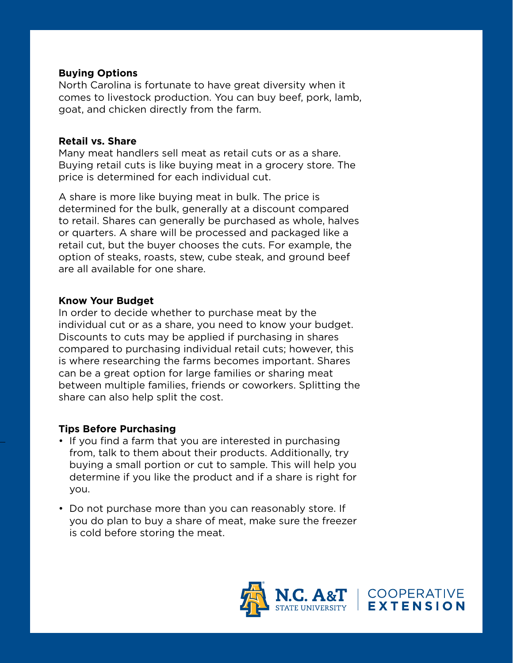#### **Buying Options**

North Carolina is fortunate to have great diversity when it comes to livestock production. You can buy beef, pork, lamb, goat, and chicken directly from the farm.

#### **Retail vs. Share**

Many meat handlers sell meat as retail cuts or as a share. Buying retail cuts is like buying meat in a grocery store. The price is determined for each individual cut.

A share is more like buying meat in bulk. The price is determined for the bulk, generally at a discount compared to retail. Shares can generally be purchased as whole, halves or quarters. A share will be processed and packaged like a retail cut, but the buyer chooses the cuts. For example, the option of steaks, roasts, stew, cube steak, and ground beef are all available for one share.

#### **Know Your Budget**

In order to decide whether to purchase meat by the individual cut or as a share, you need to know your budget. Discounts to cuts may be applied if purchasing in shares compared to purchasing individual retail cuts; however, this is where researching the farms becomes important. Shares can be a great option for large families or sharing meat between multiple families, friends or coworkers. Splitting the share can also help split the cost.

## **Tips Before Purchasing**

- If you find a farm that you are interested in purchasing from, talk to them about their products. Additionally, try buying a small portion or cut to sample. This will help you determine if you like the product and if a share is right for you.
- Do not purchase more than you can reasonably store. If you do plan to buy a share of meat, make sure the freezer is cold before storing the meat.